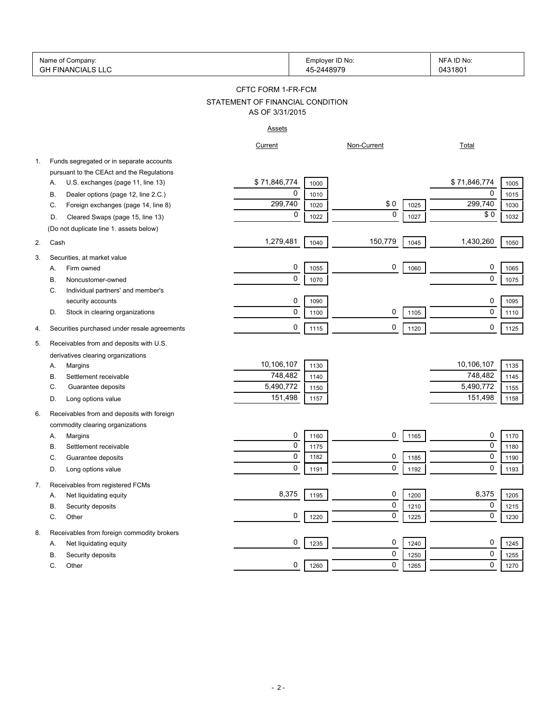|    | Name of Company:<br><b>GH FINANCIALS LLC</b> |                                  | Employer ID No:<br>45-2448979 |             |      | NFA ID No:<br>0431801 |      |
|----|----------------------------------------------|----------------------------------|-------------------------------|-------------|------|-----------------------|------|
|    |                                              | CFTC FORM 1-FR-FCM               |                               |             |      |                       |      |
|    |                                              | STATEMENT OF FINANCIAL CONDITION |                               |             |      |                       |      |
|    |                                              | AS OF 3/31/2015                  |                               |             |      |                       |      |
|    |                                              | <b>Assets</b>                    |                               |             |      |                       |      |
|    |                                              | Current                          |                               | Non-Current |      | <b>Total</b>          |      |
| 1. | Funds segregated or in separate accounts     |                                  |                               |             |      |                       |      |
|    | pursuant to the CEAct and the Regulations    |                                  |                               |             |      |                       |      |
|    | U.S. exchanges (page 11, line 13)<br>Α.      | \$71,846,774                     | 1000                          |             |      | \$71,846,774          | 1005 |
|    | Dealer options (page 12, line 2.C.)<br>В.    | 0                                | 1010                          |             |      | 0                     | 1015 |
|    | Foreign exchanges (page 14, line 8)<br>C.    | 299,740                          | 1020                          | \$0         | 1025 | 299,740               | 1030 |
|    | Cleared Swaps (page 15, line 13)<br>D.       | 0                                | 1022                          | $\mathbf 0$ | 1027 | \$0                   | 1032 |
|    | (Do not duplicate line 1. assets below)      |                                  |                               |             |      |                       |      |
| 2. | Cash                                         | 1,279,481                        | 1040                          | 150,779     | 1045 | 1,430,260             | 1050 |
|    |                                              |                                  |                               |             |      |                       |      |
| 3. | Securities, at market value                  | 0                                |                               | 0           |      | 0                     |      |
|    | Firm owned<br>А.                             | 0                                | 1055                          |             | 1060 | 0                     | 1065 |
|    | Noncustomer-owned<br>В.                      |                                  | 1070                          |             |      |                       | 1075 |
|    | Individual partners' and member's<br>C.      |                                  |                               |             |      |                       |      |
|    | security accounts                            | 0                                | 1090                          |             |      | 0                     | 1095 |
|    | Stock in clearing organizations<br>D.        | 0                                | 1100                          | 0           | 1105 | $\mathbf 0$           | 1110 |
| 4. | Securities purchased under resale agreements | 0                                | 1115                          | 0           | 1120 | 0                     | 1125 |
| 5. | Receivables from and deposits with U.S.      |                                  |                               |             |      |                       |      |
|    | derivatives clearing organizations           |                                  |                               |             |      |                       |      |
|    | Margins<br>А.                                | 10,106,107                       | 1130                          |             |      | 10,106,107            | 1135 |
|    | Settlement receivable<br>В.                  | 748,482                          | 1140                          |             |      | 748,482               | 1145 |
|    | Guarantee deposits<br>C.                     | 5,490,772                        | 1150                          |             |      | 5,490,772             | 1155 |
|    | Long options value<br>D.                     | 151,498                          | 1157                          |             |      | 151,498               | 1158 |
| 6. | Receivables from and deposits with foreign   |                                  |                               |             |      |                       |      |
|    | commodity clearing organizations             |                                  |                               |             |      |                       |      |
|    | Margins<br>Α.                                | 0                                | 1160                          | 0           | 1165 | 0                     | 1170 |
|    | В.<br>Settlement receivable                  | 0                                | 1175                          |             |      | 0                     | 1180 |
|    | C.<br>Guarantee deposits                     | $\Omega$                         | 1182                          | 0           | 1185 | $\Omega$              | 1190 |
|    | Long options value<br>D.                     | 0                                | 1191                          | 0           | 1192 | 0                     | 1193 |
|    |                                              |                                  |                               |             |      |                       |      |
| 7. | Receivables from registered FCMs             |                                  |                               |             |      |                       |      |
|    | Net liquidating equity<br>Α.                 | 8,375                            | 1195                          | 0           | 1200 | 8,375                 | 1205 |
|    | В.<br>Security deposits                      |                                  |                               | 0           | 1210 | 0                     | 1215 |
|    | С.<br>Other                                  | 0                                | 1220                          | 0           | 1225 | 0                     | 1230 |
| 8. | Receivables from foreign commodity brokers   |                                  |                               |             |      |                       |      |
|    | Net liquidating equity<br>Α.                 | 0                                | 1235                          | 0           | 1240 | 0                     | 1245 |
|    | В.<br>Security deposits                      |                                  |                               | 0           | 1250 | 0                     | 1255 |
|    | C.<br>Other                                  | 0                                | 1260                          | 0           | 1265 | 0                     | 1270 |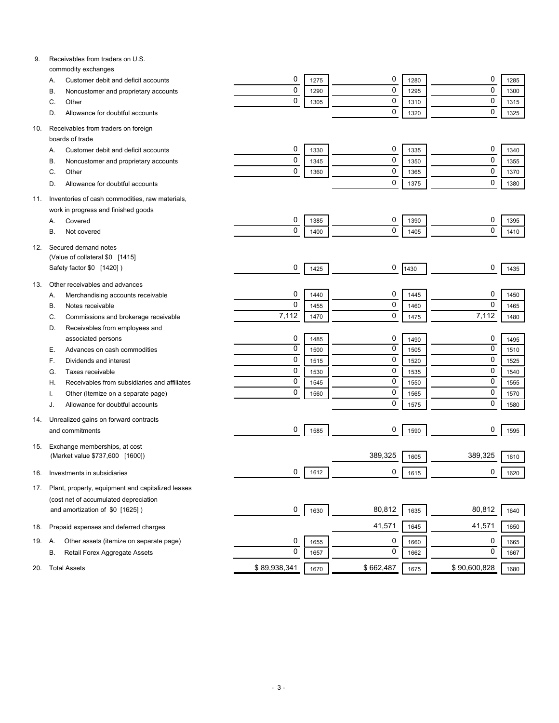| 9.  | Receivables from traders on U.S.                           |              |      |           |      |              |      |
|-----|------------------------------------------------------------|--------------|------|-----------|------|--------------|------|
|     | commodity exchanges<br>Customer debit and deficit accounts | 0            | 1275 | 0         | 1280 | 0            | 1285 |
|     | Α.<br>Noncustomer and proprietary accounts<br>В.           | $\mathbf 0$  | 1290 | 0         | 1295 | $\mathbf 0$  | 1300 |
|     | Other<br>C.                                                | $\mathbf 0$  | 1305 | 0         | 1310 | $\mathbf 0$  | 1315 |
|     | Allowance for doubtful accounts<br>D.                      |              |      | 0         | 1320 | $\mathbf 0$  | 1325 |
|     |                                                            |              |      |           |      |              |      |
| 10. | Receivables from traders on foreign                        |              |      |           |      |              |      |
|     | boards of trade                                            |              |      |           |      |              |      |
|     | Customer debit and deficit accounts<br>Α.                  | 0            | 1330 | 0         | 1335 | 0            | 1340 |
|     | Noncustomer and proprietary accounts<br>В.                 | 0            | 1345 | 0         | 1350 | $\mathbf 0$  | 1355 |
|     | Other<br>C.                                                | 0            | 1360 | 0         | 1365 | $\mathbf 0$  | 1370 |
|     | Allowance for doubtful accounts<br>D.                      |              |      | 0         | 1375 | $\mathbf 0$  | 1380 |
| 11. | Inventories of cash commodities, raw materials,            |              |      |           |      |              |      |
|     | work in progress and finished goods                        |              |      |           |      |              |      |
|     | Covered<br>Α.                                              | 0            | 1385 | 0         | 1390 | 0            | 1395 |
|     | В.<br>Not covered                                          | 0            | 1400 | 0         | 1405 | $\mathbf 0$  | 1410 |
|     |                                                            |              |      |           |      |              |      |
| 12. | Secured demand notes                                       |              |      |           |      |              |      |
|     | (Value of collateral \$0 [1415]                            | 0            |      | 0         |      | 0            |      |
|     | Safety factor \$0 [1420])                                  |              | 1425 |           | 1430 |              | 1435 |
| 13. | Other receivables and advances                             |              |      |           |      |              |      |
|     | Merchandising accounts receivable<br>А.                    | 0            | 1440 | 0         | 1445 | 0            | 1450 |
|     | Notes receivable<br>В.                                     | $\mathbf 0$  | 1455 | 0         | 1460 | $\mathbf 0$  | 1465 |
|     | Commissions and brokerage receivable<br>C.                 | 7,112        | 1470 | 0         | 1475 | 7,112        | 1480 |
|     | Receivables from employees and<br>D.                       |              |      |           |      |              |      |
|     | associated persons                                         | 0            | 1485 | 0         | 1490 | 0            | 1495 |
|     | Advances on cash commodities<br>Е.                         | $\mathbf 0$  | 1500 | 0         | 1505 | $\mathbf 0$  | 1510 |
|     | Dividends and interest<br>F.                               | $\mathbf 0$  | 1515 | 0         | 1520 | $\mathbf 0$  | 1525 |
|     | Taxes receivable<br>G.                                     | $\mathbf 0$  | 1530 | 0         | 1535 | $\mathbf 0$  | 1540 |
|     | Receivables from subsidiaries and affiliates<br>Н.         | $\mathbf 0$  | 1545 | 0         | 1550 | $\mathbf 0$  | 1555 |
|     | Other (Itemize on a separate page)                         | $\mathbf 0$  | 1560 | 0         | 1565 | $\mathbf 0$  | 1570 |
|     | Allowance for doubtful accounts<br>J.                      |              |      | 0         | 1575 | $\mathbf 0$  | 1580 |
| 14. | Unrealized gains on forward contracts                      |              |      |           |      |              |      |
|     | and commitments                                            | 0            | 1585 | 0         | 1590 | 0            | 1595 |
|     |                                                            |              |      |           |      |              |      |
| 15. | Exchange memberships, at cost                              |              |      |           |      |              |      |
|     | (Market value \$737,600 [1600])                            |              |      | 389,325   | 1605 | 389,325      | 1610 |
| 16. | Investments in subsidiaries                                | 0            | 1612 | 0         | 1615 | 0            | 1620 |
| 17. | Plant, property, equipment and capitalized leases          |              |      |           |      |              |      |
|     | (cost net of accumulated depreciation                      |              |      |           |      |              |      |
|     | and amortization of \$0 [1625])                            | 0            | 1630 | 80,812    | 1635 | 80,812       | 1640 |
|     |                                                            |              |      |           |      |              |      |
| 18. | Prepaid expenses and deferred charges                      |              |      | 41,571    | 1645 | 41,571       | 1650 |
| 19. | Other assets (itemize on separate page)<br>А.              | 0            | 1655 | 0         | 1660 | 0            | 1665 |
|     | Retail Forex Aggregate Assets<br>В.                        | $\mathbf 0$  | 1657 | 0         | 1662 | 0            | 1667 |
|     |                                                            |              |      |           |      |              |      |
| 20. | <b>Total Assets</b>                                        | \$89,938,341 | 1670 | \$662,487 | 1675 | \$90,600,828 | 1680 |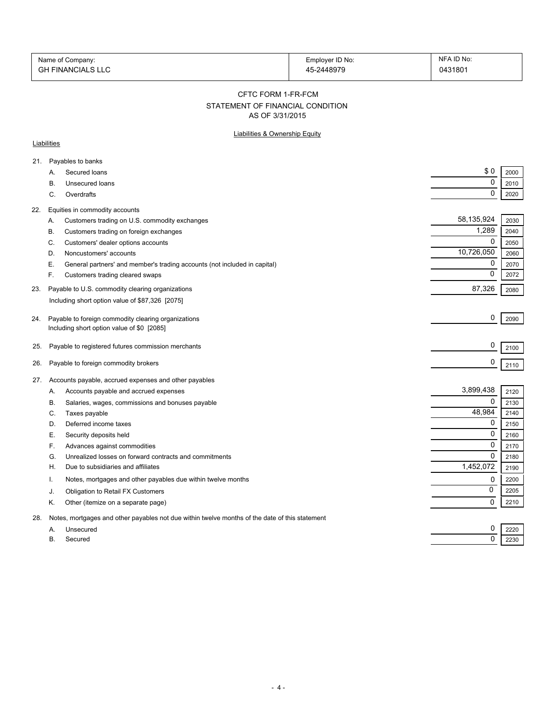| Name of Company:  | Employer ID No: | NFA ID No: |
|-------------------|-----------------|------------|
| GH FINANCIALS LLC | 45-2448979      | 0431801    |

#### CFTC FORM 1-FR-FCM

# STATEMENT OF FINANCIAL CONDITION

AS OF 3/31/2015

#### Liabilities & Ownership Equity

#### **Liabilities**

| A.        | Secured loans                                                             | \$0                                                                                                                                                                                                                                                                                                                                                                                                                                                                                                                                                                                                                                                                        | 2000                                         |
|-----------|---------------------------------------------------------------------------|----------------------------------------------------------------------------------------------------------------------------------------------------------------------------------------------------------------------------------------------------------------------------------------------------------------------------------------------------------------------------------------------------------------------------------------------------------------------------------------------------------------------------------------------------------------------------------------------------------------------------------------------------------------------------|----------------------------------------------|
| В.        | Unsecured loans                                                           | 0                                                                                                                                                                                                                                                                                                                                                                                                                                                                                                                                                                                                                                                                          | 2010                                         |
| C.        | Overdrafts                                                                | 0                                                                                                                                                                                                                                                                                                                                                                                                                                                                                                                                                                                                                                                                          | 2020                                         |
|           |                                                                           |                                                                                                                                                                                                                                                                                                                                                                                                                                                                                                                                                                                                                                                                            |                                              |
| Α.        |                                                                           | 58,135,924                                                                                                                                                                                                                                                                                                                                                                                                                                                                                                                                                                                                                                                                 | 2030                                         |
| В.        |                                                                           | 1,289                                                                                                                                                                                                                                                                                                                                                                                                                                                                                                                                                                                                                                                                      | 2040                                         |
| C.        |                                                                           | $\mathbf 0$                                                                                                                                                                                                                                                                                                                                                                                                                                                                                                                                                                                                                                                                | 2050                                         |
| D.        | Noncustomers' accounts                                                    | 10,726,050                                                                                                                                                                                                                                                                                                                                                                                                                                                                                                                                                                                                                                                                 | 2060                                         |
| Е.        | General partners' and member's trading accounts (not included in capital) | 0                                                                                                                                                                                                                                                                                                                                                                                                                                                                                                                                                                                                                                                                          | 2070                                         |
| F.        | Customers trading cleared swaps                                           | 0                                                                                                                                                                                                                                                                                                                                                                                                                                                                                                                                                                                                                                                                          | 2072                                         |
|           |                                                                           | 87,326                                                                                                                                                                                                                                                                                                                                                                                                                                                                                                                                                                                                                                                                     | 2080                                         |
|           |                                                                           |                                                                                                                                                                                                                                                                                                                                                                                                                                                                                                                                                                                                                                                                            |                                              |
|           |                                                                           |                                                                                                                                                                                                                                                                                                                                                                                                                                                                                                                                                                                                                                                                            |                                              |
|           |                                                                           |                                                                                                                                                                                                                                                                                                                                                                                                                                                                                                                                                                                                                                                                            | 2090                                         |
|           |                                                                           |                                                                                                                                                                                                                                                                                                                                                                                                                                                                                                                                                                                                                                                                            |                                              |
|           |                                                                           | 0                                                                                                                                                                                                                                                                                                                                                                                                                                                                                                                                                                                                                                                                          | 2100                                         |
|           |                                                                           | 0                                                                                                                                                                                                                                                                                                                                                                                                                                                                                                                                                                                                                                                                          | 2110                                         |
|           |                                                                           |                                                                                                                                                                                                                                                                                                                                                                                                                                                                                                                                                                                                                                                                            |                                              |
| 27.       |                                                                           |                                                                                                                                                                                                                                                                                                                                                                                                                                                                                                                                                                                                                                                                            |                                              |
| А.        | Accounts payable and accrued expenses                                     |                                                                                                                                                                                                                                                                                                                                                                                                                                                                                                                                                                                                                                                                            | 2120                                         |
| В.        | Salaries, wages, commissions and bonuses payable                          | 0                                                                                                                                                                                                                                                                                                                                                                                                                                                                                                                                                                                                                                                                          | 2130                                         |
| C.        |                                                                           |                                                                                                                                                                                                                                                                                                                                                                                                                                                                                                                                                                                                                                                                            | 2140                                         |
| D.        | Deferred income taxes                                                     |                                                                                                                                                                                                                                                                                                                                                                                                                                                                                                                                                                                                                                                                            | 2150                                         |
| Е.        | Security deposits held                                                    |                                                                                                                                                                                                                                                                                                                                                                                                                                                                                                                                                                                                                                                                            | 2160                                         |
| F.        | Advances against commodities                                              | 0                                                                                                                                                                                                                                                                                                                                                                                                                                                                                                                                                                                                                                                                          | 2170                                         |
| G.        | Unrealized losses on forward contracts and commitments                    | $\Omega$                                                                                                                                                                                                                                                                                                                                                                                                                                                                                                                                                                                                                                                                   | 2180                                         |
| Н.        | Due to subsidiaries and affiliates                                        | 1,452,072                                                                                                                                                                                                                                                                                                                                                                                                                                                                                                                                                                                                                                                                  | 2190                                         |
| т.        | Notes, mortgages and other payables due within twelve months              | 0                                                                                                                                                                                                                                                                                                                                                                                                                                                                                                                                                                                                                                                                          | 2200                                         |
| J.        | Obligation to Retail FX Customers                                         | 0                                                                                                                                                                                                                                                                                                                                                                                                                                                                                                                                                                                                                                                                          | 2205                                         |
| Κ.        | Other (itemize on a separate page)                                        | 0                                                                                                                                                                                                                                                                                                                                                                                                                                                                                                                                                                                                                                                                          | 2210                                         |
|           |                                                                           |                                                                                                                                                                                                                                                                                                                                                                                                                                                                                                                                                                                                                                                                            |                                              |
| А.        | Unsecured                                                                 | 0                                                                                                                                                                                                                                                                                                                                                                                                                                                                                                                                                                                                                                                                          | 2220                                         |
| <b>B.</b> | Secured                                                                   | 0                                                                                                                                                                                                                                                                                                                                                                                                                                                                                                                                                                                                                                                                          | 2230                                         |
|           |                                                                           | Payables to banks<br>Equities in commodity accounts<br>Customers trading on U.S. commodity exchanges<br>Customers trading on foreign exchanges<br>Customers' dealer options accounts<br>Payable to U.S. commodity clearing organizations<br>Including short option value of \$87,326 [2075]<br>Payable to foreign commodity clearing organizations<br>Including short option value of \$0 [2085]<br>Payable to registered futures commission merchants<br>Payable to foreign commodity brokers<br>Accounts payable, accrued expenses and other payables<br>Taxes payable<br>Notes, mortgages and other payables not due within twelve months of the date of this statement | 0<br>3,899,438<br>48,984<br>0<br>$\mathbf 0$ |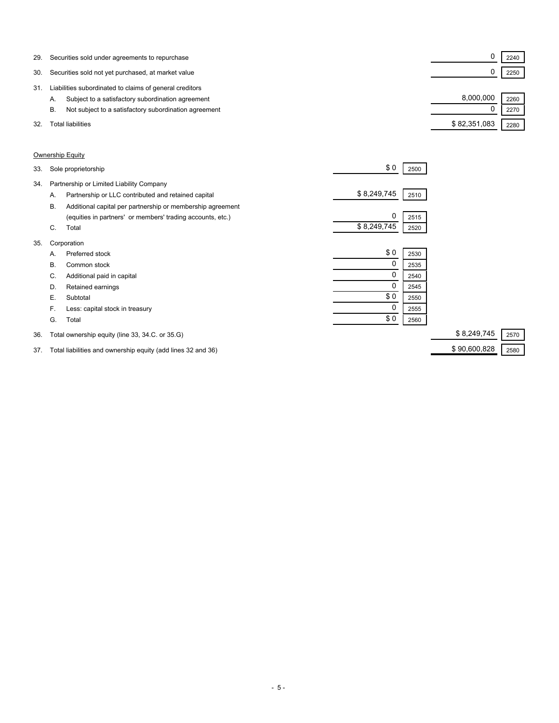| 29. | Securities sold under agreements to repurchase              |              | 2240 |  |
|-----|-------------------------------------------------------------|--------------|------|--|
| 30. | Securities sold not yet purchased, at market value          |              | 2250 |  |
| 31  | Liabilities subordinated to claims of general creditors     |              |      |  |
|     | Subject to a satisfactory subordination agreement<br>А.     | 8.000.000    | 2260 |  |
|     | Not subject to a satisfactory subordination agreement<br>В. |              | 2270 |  |
| 32. | Total liabilities                                           | \$82,351,083 | 2280 |  |

#### Ownership Equity

| 34.<br>Partnership or Limited Liability Company<br>\$8,249,745<br>Partnership or LLC contributed and retained capital<br>2510<br>Α.<br><b>B.</b><br>Additional capital per partnership or membership agreement<br>0<br>(equities in partners' or members' trading accounts, etc.)<br>2515<br>\$8,249,745<br>C.<br>Total<br>2520<br>35.<br>Corporation<br>\$0<br>Preferred stock<br>2530<br>А.<br>0<br>В.<br>Common stock<br>2535<br>0<br>Additional paid in capital<br>C.<br>2540<br>Retained earnings<br>D.<br>2545<br>\$0<br>Е.<br>Subtotal<br>2550<br>0<br>F.<br>Less: capital stock in treasury<br>2555<br>\$0<br>G.<br>Total<br>2560<br>\$8,249,745<br>36.<br>Total ownership equity (line 33, 34.C. or 35.G) | 33. | Sole proprietorship | \$0 | 2500 |      |
|--------------------------------------------------------------------------------------------------------------------------------------------------------------------------------------------------------------------------------------------------------------------------------------------------------------------------------------------------------------------------------------------------------------------------------------------------------------------------------------------------------------------------------------------------------------------------------------------------------------------------------------------------------------------------------------------------------------------|-----|---------------------|-----|------|------|
|                                                                                                                                                                                                                                                                                                                                                                                                                                                                                                                                                                                                                                                                                                                    |     |                     |     |      |      |
|                                                                                                                                                                                                                                                                                                                                                                                                                                                                                                                                                                                                                                                                                                                    |     |                     |     |      |      |
|                                                                                                                                                                                                                                                                                                                                                                                                                                                                                                                                                                                                                                                                                                                    |     |                     |     |      |      |
|                                                                                                                                                                                                                                                                                                                                                                                                                                                                                                                                                                                                                                                                                                                    |     |                     |     |      |      |
|                                                                                                                                                                                                                                                                                                                                                                                                                                                                                                                                                                                                                                                                                                                    |     |                     |     |      |      |
|                                                                                                                                                                                                                                                                                                                                                                                                                                                                                                                                                                                                                                                                                                                    |     |                     |     |      |      |
|                                                                                                                                                                                                                                                                                                                                                                                                                                                                                                                                                                                                                                                                                                                    |     |                     |     |      |      |
|                                                                                                                                                                                                                                                                                                                                                                                                                                                                                                                                                                                                                                                                                                                    |     |                     |     |      |      |
|                                                                                                                                                                                                                                                                                                                                                                                                                                                                                                                                                                                                                                                                                                                    |     |                     |     |      |      |
|                                                                                                                                                                                                                                                                                                                                                                                                                                                                                                                                                                                                                                                                                                                    |     |                     |     |      |      |
|                                                                                                                                                                                                                                                                                                                                                                                                                                                                                                                                                                                                                                                                                                                    |     |                     |     |      |      |
|                                                                                                                                                                                                                                                                                                                                                                                                                                                                                                                                                                                                                                                                                                                    |     |                     |     |      |      |
|                                                                                                                                                                                                                                                                                                                                                                                                                                                                                                                                                                                                                                                                                                                    |     |                     |     |      |      |
|                                                                                                                                                                                                                                                                                                                                                                                                                                                                                                                                                                                                                                                                                                                    |     |                     |     |      | 2570 |

37. Total liabilities and ownership equity (add lines 32 and 36) \$ 90,600,828 2580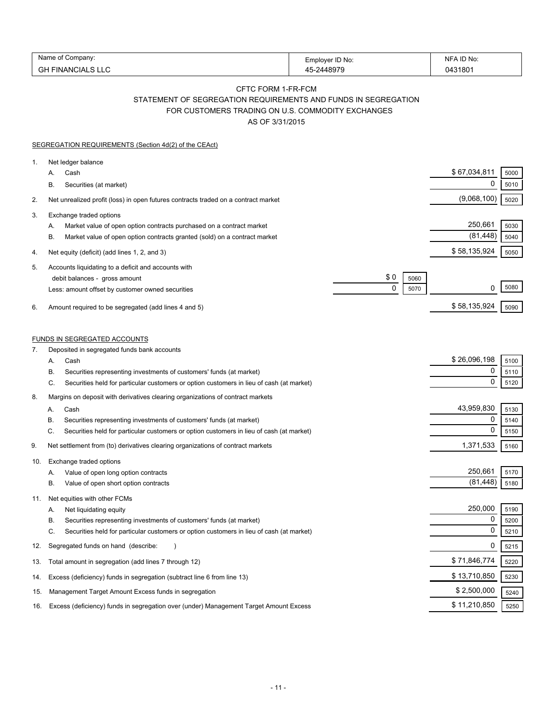| Name<br>ompanv                       | Emplover ID No: | ID No:<br>NIF       |
|--------------------------------------|-----------------|---------------------|
| 冖∟<br>IΔI<br>$\mathsf{N} \mathsf{L}$ | 1007c           | 043180 <sup>-</sup> |

### CFTC FORM 1-FR-FCM STATEMENT OF SEGREGATION REQUIREMENTS AND FUNDS IN SEGREGATION FOR CUSTOMERS TRADING ON U.S. COMMODITY EXCHANGES

AS OF 3/31/2015

| Net ledger balance<br>\$67,034,811<br>5000<br>Cash<br>А.<br>0<br>5010<br>В.<br>Securities (at market)<br>(9,068,100)<br>5020<br>Net unrealized profit (loss) in open futures contracts traded on a contract market<br>Exchange traded options<br>250,661<br>5030<br>Market value of open option contracts purchased on a contract market<br>А.<br>(81, 448)<br>5040<br>В.<br>Market value of open option contracts granted (sold) on a contract market<br>\$58,135,924<br>5050<br>Net equity (deficit) (add lines 1, 2, and 3)<br>Accounts liquidating to a deficit and accounts with<br>\$0<br>debit balances - gross amount<br>5060<br>5080<br>$\Omega$<br>0<br>5070<br>Less: amount offset by customer owned securities<br>\$58,135,924<br>Amount required to be segregated (add lines 4 and 5)<br>5090<br><b>FUNDS IN SEGREGATED ACCOUNTS</b><br>Deposited in segregated funds bank accounts<br>\$26,096,198<br>Cash<br>5100<br>А.<br>0<br>Securities representing investments of customers' funds (at market)<br>5110<br>В.<br>$\mathbf 0$<br>C.<br>Securities held for particular customers or option customers in lieu of cash (at market)<br>5120<br>Margins on deposit with derivatives clearing organizations of contract markets<br>43,959,830<br>Cash<br>5130<br>А.<br>0<br>5140<br>В<br>Securities representing investments of customers' funds (at market)<br>$\mathbf 0$<br>C.<br>Securities held for particular customers or option customers in lieu of cash (at market)<br>5150<br>1,371,533<br>Net settlement from (to) derivatives clearing organizations of contract markets<br>5160<br>Exchange traded options<br>250,661<br>5170<br>Value of open long option contracts<br>Α.<br>(81, 448)<br>5180<br>В.<br>Value of open short option contracts<br>Net equities with other FCMs<br>250,000<br>5190<br>Net liquidating equity<br>А.<br>0<br>В.<br>Securities representing investments of customers' funds (at market)<br>5200<br>0<br>C.<br>Securities held for particular customers or option customers in lieu of cash (at market)<br>5210<br>0<br>Segregated funds on hand (describe:<br>5215<br>\$71,846,774<br>Total amount in segregation (add lines 7 through 12)<br>5220<br>\$13,710,850<br>5230<br>Excess (deficiency) funds in segregation (subtract line 6 from line 13)<br>\$2,500,000<br>Management Target Amount Excess funds in segregation<br>5240 |          | SEGREGATION REQUIREMENTS (Section 4d(2) of the CEAct)                                 |                      |
|-------------------------------------------------------------------------------------------------------------------------------------------------------------------------------------------------------------------------------------------------------------------------------------------------------------------------------------------------------------------------------------------------------------------------------------------------------------------------------------------------------------------------------------------------------------------------------------------------------------------------------------------------------------------------------------------------------------------------------------------------------------------------------------------------------------------------------------------------------------------------------------------------------------------------------------------------------------------------------------------------------------------------------------------------------------------------------------------------------------------------------------------------------------------------------------------------------------------------------------------------------------------------------------------------------------------------------------------------------------------------------------------------------------------------------------------------------------------------------------------------------------------------------------------------------------------------------------------------------------------------------------------------------------------------------------------------------------------------------------------------------------------------------------------------------------------------------------------------------------------------------------------------------------------------------------------------------------------------------------------------------------------------------------------------------------------------------------------------------------------------------------------------------------------------------------------------------------------------------------------------------------------------------------------------------------------------------------------------------------------------------------------|----------|---------------------------------------------------------------------------------------|----------------------|
|                                                                                                                                                                                                                                                                                                                                                                                                                                                                                                                                                                                                                                                                                                                                                                                                                                                                                                                                                                                                                                                                                                                                                                                                                                                                                                                                                                                                                                                                                                                                                                                                                                                                                                                                                                                                                                                                                                                                                                                                                                                                                                                                                                                                                                                                                                                                                                                           | 1.       |                                                                                       |                      |
|                                                                                                                                                                                                                                                                                                                                                                                                                                                                                                                                                                                                                                                                                                                                                                                                                                                                                                                                                                                                                                                                                                                                                                                                                                                                                                                                                                                                                                                                                                                                                                                                                                                                                                                                                                                                                                                                                                                                                                                                                                                                                                                                                                                                                                                                                                                                                                                           | 2.       |                                                                                       |                      |
|                                                                                                                                                                                                                                                                                                                                                                                                                                                                                                                                                                                                                                                                                                                                                                                                                                                                                                                                                                                                                                                                                                                                                                                                                                                                                                                                                                                                                                                                                                                                                                                                                                                                                                                                                                                                                                                                                                                                                                                                                                                                                                                                                                                                                                                                                                                                                                                           | 3.       |                                                                                       |                      |
|                                                                                                                                                                                                                                                                                                                                                                                                                                                                                                                                                                                                                                                                                                                                                                                                                                                                                                                                                                                                                                                                                                                                                                                                                                                                                                                                                                                                                                                                                                                                                                                                                                                                                                                                                                                                                                                                                                                                                                                                                                                                                                                                                                                                                                                                                                                                                                                           | 4.       |                                                                                       |                      |
|                                                                                                                                                                                                                                                                                                                                                                                                                                                                                                                                                                                                                                                                                                                                                                                                                                                                                                                                                                                                                                                                                                                                                                                                                                                                                                                                                                                                                                                                                                                                                                                                                                                                                                                                                                                                                                                                                                                                                                                                                                                                                                                                                                                                                                                                                                                                                                                           | 5.<br>6. |                                                                                       |                      |
|                                                                                                                                                                                                                                                                                                                                                                                                                                                                                                                                                                                                                                                                                                                                                                                                                                                                                                                                                                                                                                                                                                                                                                                                                                                                                                                                                                                                                                                                                                                                                                                                                                                                                                                                                                                                                                                                                                                                                                                                                                                                                                                                                                                                                                                                                                                                                                                           |          |                                                                                       |                      |
|                                                                                                                                                                                                                                                                                                                                                                                                                                                                                                                                                                                                                                                                                                                                                                                                                                                                                                                                                                                                                                                                                                                                                                                                                                                                                                                                                                                                                                                                                                                                                                                                                                                                                                                                                                                                                                                                                                                                                                                                                                                                                                                                                                                                                                                                                                                                                                                           |          |                                                                                       |                      |
|                                                                                                                                                                                                                                                                                                                                                                                                                                                                                                                                                                                                                                                                                                                                                                                                                                                                                                                                                                                                                                                                                                                                                                                                                                                                                                                                                                                                                                                                                                                                                                                                                                                                                                                                                                                                                                                                                                                                                                                                                                                                                                                                                                                                                                                                                                                                                                                           | 7.       |                                                                                       |                      |
|                                                                                                                                                                                                                                                                                                                                                                                                                                                                                                                                                                                                                                                                                                                                                                                                                                                                                                                                                                                                                                                                                                                                                                                                                                                                                                                                                                                                                                                                                                                                                                                                                                                                                                                                                                                                                                                                                                                                                                                                                                                                                                                                                                                                                                                                                                                                                                                           | 8.       |                                                                                       |                      |
|                                                                                                                                                                                                                                                                                                                                                                                                                                                                                                                                                                                                                                                                                                                                                                                                                                                                                                                                                                                                                                                                                                                                                                                                                                                                                                                                                                                                                                                                                                                                                                                                                                                                                                                                                                                                                                                                                                                                                                                                                                                                                                                                                                                                                                                                                                                                                                                           |          |                                                                                       |                      |
|                                                                                                                                                                                                                                                                                                                                                                                                                                                                                                                                                                                                                                                                                                                                                                                                                                                                                                                                                                                                                                                                                                                                                                                                                                                                                                                                                                                                                                                                                                                                                                                                                                                                                                                                                                                                                                                                                                                                                                                                                                                                                                                                                                                                                                                                                                                                                                                           | 9.       |                                                                                       |                      |
|                                                                                                                                                                                                                                                                                                                                                                                                                                                                                                                                                                                                                                                                                                                                                                                                                                                                                                                                                                                                                                                                                                                                                                                                                                                                                                                                                                                                                                                                                                                                                                                                                                                                                                                                                                                                                                                                                                                                                                                                                                                                                                                                                                                                                                                                                                                                                                                           | 10.      |                                                                                       |                      |
|                                                                                                                                                                                                                                                                                                                                                                                                                                                                                                                                                                                                                                                                                                                                                                                                                                                                                                                                                                                                                                                                                                                                                                                                                                                                                                                                                                                                                                                                                                                                                                                                                                                                                                                                                                                                                                                                                                                                                                                                                                                                                                                                                                                                                                                                                                                                                                                           | 11.      |                                                                                       |                      |
|                                                                                                                                                                                                                                                                                                                                                                                                                                                                                                                                                                                                                                                                                                                                                                                                                                                                                                                                                                                                                                                                                                                                                                                                                                                                                                                                                                                                                                                                                                                                                                                                                                                                                                                                                                                                                                                                                                                                                                                                                                                                                                                                                                                                                                                                                                                                                                                           | 12.      |                                                                                       |                      |
|                                                                                                                                                                                                                                                                                                                                                                                                                                                                                                                                                                                                                                                                                                                                                                                                                                                                                                                                                                                                                                                                                                                                                                                                                                                                                                                                                                                                                                                                                                                                                                                                                                                                                                                                                                                                                                                                                                                                                                                                                                                                                                                                                                                                                                                                                                                                                                                           | 13.      |                                                                                       |                      |
|                                                                                                                                                                                                                                                                                                                                                                                                                                                                                                                                                                                                                                                                                                                                                                                                                                                                                                                                                                                                                                                                                                                                                                                                                                                                                                                                                                                                                                                                                                                                                                                                                                                                                                                                                                                                                                                                                                                                                                                                                                                                                                                                                                                                                                                                                                                                                                                           | 14.      |                                                                                       |                      |
|                                                                                                                                                                                                                                                                                                                                                                                                                                                                                                                                                                                                                                                                                                                                                                                                                                                                                                                                                                                                                                                                                                                                                                                                                                                                                                                                                                                                                                                                                                                                                                                                                                                                                                                                                                                                                                                                                                                                                                                                                                                                                                                                                                                                                                                                                                                                                                                           | 15.      |                                                                                       |                      |
|                                                                                                                                                                                                                                                                                                                                                                                                                                                                                                                                                                                                                                                                                                                                                                                                                                                                                                                                                                                                                                                                                                                                                                                                                                                                                                                                                                                                                                                                                                                                                                                                                                                                                                                                                                                                                                                                                                                                                                                                                                                                                                                                                                                                                                                                                                                                                                                           | 16.      | Excess (deficiency) funds in segregation over (under) Management Target Amount Excess | \$11,210,850<br>5250 |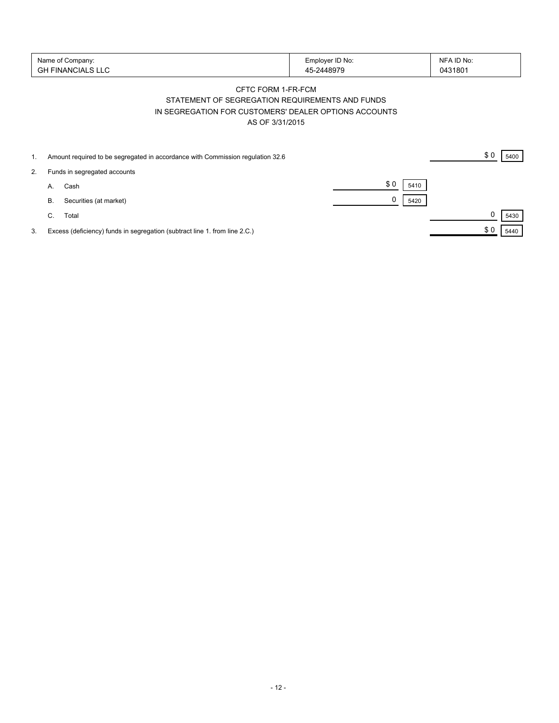| Name of Company:   | Employer ID No: | NFA ID No: |
|--------------------|-----------------|------------|
| 'GH FINANCIALS LLC | -2448979        | 0431801    |

## CFTC FORM 1-FR-FCM STATEMENT OF SEGREGATION REQUIREMENTS AND FUNDS IN SEGREGATION FOR CUSTOMERS' DEALER OPTIONS ACCOUNTS AS OF 3/31/2015

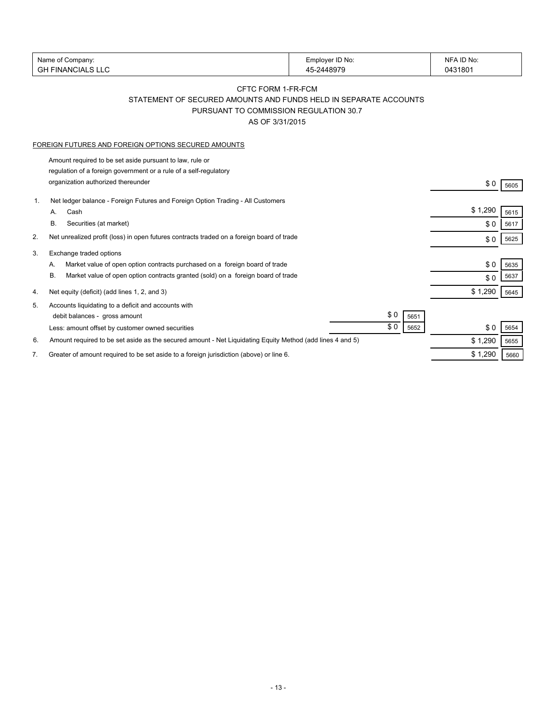|    | Name of Company:                                                                                                              | Employer ID No: | NFA ID No: |      |
|----|-------------------------------------------------------------------------------------------------------------------------------|-----------------|------------|------|
|    | <b>GH FINANCIALS LLC</b>                                                                                                      | 45-2448979      | 0431801    |      |
|    |                                                                                                                               |                 |            |      |
|    | CFTC FORM 1-FR-FCM                                                                                                            |                 |            |      |
|    | STATEMENT OF SECURED AMOUNTS AND FUNDS HELD IN SEPARATE ACCOUNTS                                                              |                 |            |      |
|    | PURSUANT TO COMMISSION REGULATION 30.7                                                                                        |                 |            |      |
|    | AS OF 3/31/2015                                                                                                               |                 |            |      |
|    | FOREIGN FUTURES AND FOREIGN OPTIONS SECURED AMOUNTS                                                                           |                 |            |      |
|    |                                                                                                                               |                 |            |      |
|    | Amount required to be set aside pursuant to law, rule or<br>regulation of a foreign government or a rule of a self-regulatory |                 |            |      |
|    | organization authorized thereunder                                                                                            |                 |            |      |
|    |                                                                                                                               |                 | \$0        | 5605 |
| 1. | Net ledger balance - Foreign Futures and Foreign Option Trading - All Customers                                               |                 |            |      |
|    | Cash<br>А.                                                                                                                    |                 | \$1,290    | 5615 |
|    | В.<br>Securities (at market)                                                                                                  |                 | \$0        | 5617 |
| 2. | Net unrealized profit (loss) in open futures contracts traded on a foreign board of trade                                     |                 | \$0        | 5625 |
| 3. | Exchange traded options                                                                                                       |                 |            |      |
|    | Market value of open option contracts purchased on a foreign board of trade<br>А.                                             |                 | \$0        | 5635 |
|    | В.<br>Market value of open option contracts granted (sold) on a foreign board of trade                                        |                 | \$0        | 5637 |
|    |                                                                                                                               |                 |            |      |
| 4. | Net equity (deficit) (add lines 1, 2, and 3)                                                                                  |                 | \$1,290    | 5645 |
| 5. | Accounts liquidating to a deficit and accounts with                                                                           |                 |            |      |
|    | debit balances - gross amount                                                                                                 | \$0<br>5651     |            |      |
|    | Less: amount offset by customer owned securities                                                                              | \$0<br>5652     | \$0        | 5654 |
| 6. | Amount required to be set aside as the secured amount - Net Liquidating Equity Method (add lines 4 and 5)                     |                 | \$1,290    | 5655 |
| 7. | Greater of amount required to be set aside to a foreign jurisdiction (above) or line 6.                                       |                 | \$1,290    | 5660 |